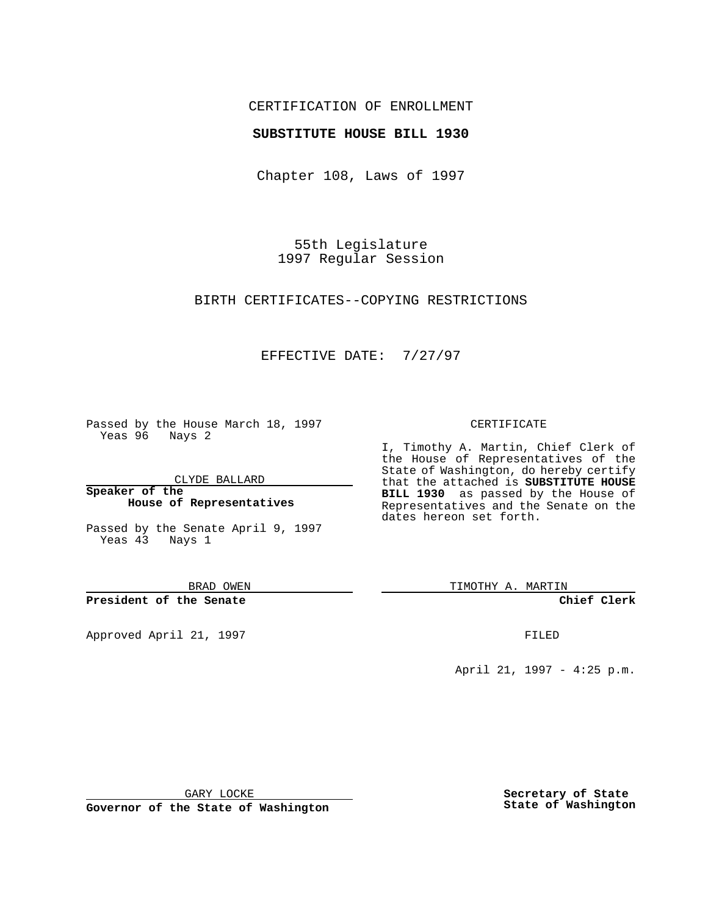## CERTIFICATION OF ENROLLMENT

## **SUBSTITUTE HOUSE BILL 1930**

Chapter 108, Laws of 1997

55th Legislature 1997 Regular Session

BIRTH CERTIFICATES--COPYING RESTRICTIONS

## EFFECTIVE DATE: 7/27/97

Passed by the House March 18, 1997 Yeas 96 Nays 2

CLYDE BALLARD

**Speaker of the House of Representatives**

Passed by the Senate April 9, 1997 Yeas 43 Nays 1

BRAD OWEN

**President of the Senate**

Approved April 21, 1997 **FILED** 

#### CERTIFICATE

I, Timothy A. Martin, Chief Clerk of the House of Representatives of the State of Washington, do hereby certify that the attached is **SUBSTITUTE HOUSE BILL 1930** as passed by the House of Representatives and the Senate on the dates hereon set forth.

TIMOTHY A. MARTIN

**Chief Clerk**

April 21, 1997 - 4:25 p.m.

GARY LOCKE

**Governor of the State of Washington**

**Secretary of State State of Washington**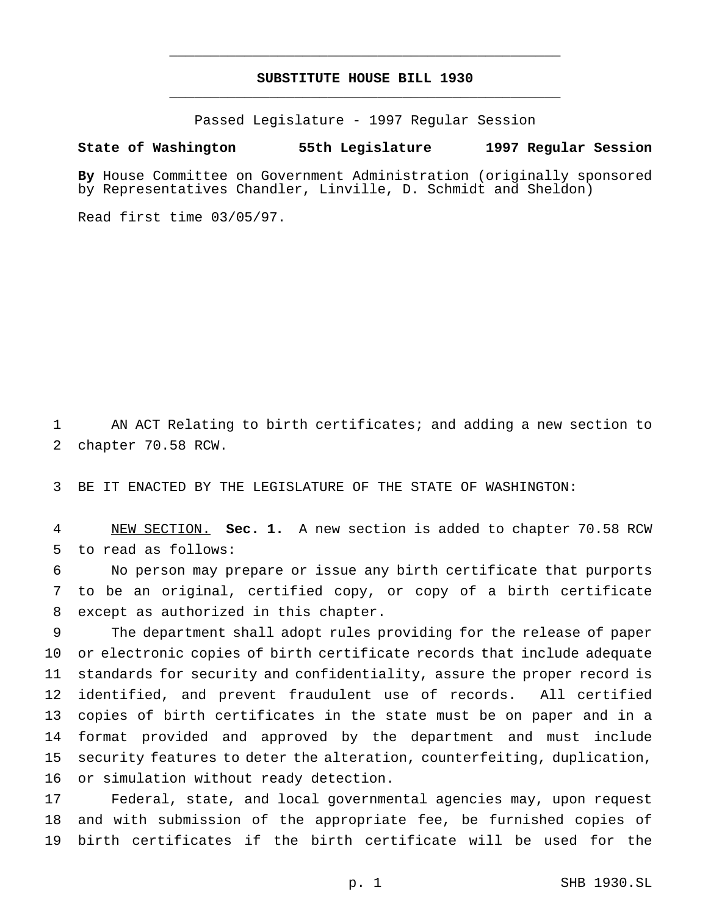# **SUBSTITUTE HOUSE BILL 1930** \_\_\_\_\_\_\_\_\_\_\_\_\_\_\_\_\_\_\_\_\_\_\_\_\_\_\_\_\_\_\_\_\_\_\_\_\_\_\_\_\_\_\_\_\_\_\_

\_\_\_\_\_\_\_\_\_\_\_\_\_\_\_\_\_\_\_\_\_\_\_\_\_\_\_\_\_\_\_\_\_\_\_\_\_\_\_\_\_\_\_\_\_\_\_

Passed Legislature - 1997 Regular Session

#### **State of Washington 55th Legislature 1997 Regular Session**

**By** House Committee on Government Administration (originally sponsored by Representatives Chandler, Linville, D. Schmidt and Sheldon)

Read first time 03/05/97.

 AN ACT Relating to birth certificates; and adding a new section to chapter 70.58 RCW.

BE IT ENACTED BY THE LEGISLATURE OF THE STATE OF WASHINGTON:

 NEW SECTION. **Sec. 1.** A new section is added to chapter 70.58 RCW to read as follows:

 No person may prepare or issue any birth certificate that purports to be an original, certified copy, or copy of a birth certificate except as authorized in this chapter.

 The department shall adopt rules providing for the release of paper or electronic copies of birth certificate records that include adequate standards for security and confidentiality, assure the proper record is identified, and prevent fraudulent use of records. All certified copies of birth certificates in the state must be on paper and in a format provided and approved by the department and must include security features to deter the alteration, counterfeiting, duplication, or simulation without ready detection.

 Federal, state, and local governmental agencies may, upon request and with submission of the appropriate fee, be furnished copies of birth certificates if the birth certificate will be used for the